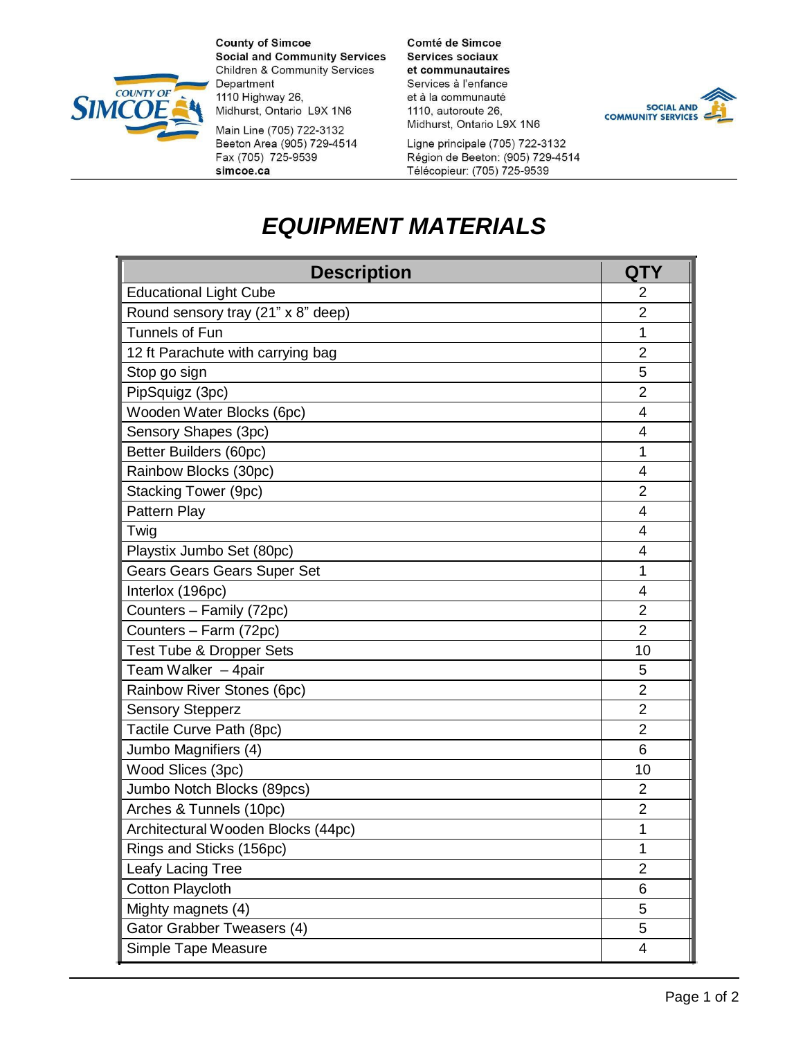

**County of Simcoe Social and Community Services Children & Community Services** Department 1110 Highway 26, Midhurst, Ontario L9X 1N6

Main Line (705) 722-3132 Beeton Area (905) 729-4514 Fax (705) 725-9539 simcoe.ca

Comté de Simcoe **Services sociaux** et communautaires Services à l'enfance et à la communauté 1110, autoroute 26, Midhurst, Ontario L9X 1N6

Ligne principale (705) 722-3132 Région de Beeton: (905) 729-4514 Télécopieur: (705) 725-9539



## *EQUIPMENT MATERIALS*

| <b>Description</b>                  | QTY            |
|-------------------------------------|----------------|
| <b>Educational Light Cube</b>       | $\overline{2}$ |
| Round sensory tray (21" x 8" deep)  | $\overline{2}$ |
| Tunnels of Fun                      | 1              |
| 12 ft Parachute with carrying bag   | $\overline{2}$ |
| Stop go sign                        | 5              |
| PipSquigz (3pc)                     | $\overline{2}$ |
| Wooden Water Blocks (6pc)           | 4              |
| Sensory Shapes (3pc)                | $\overline{4}$ |
| Better Builders (60pc)              | 1              |
| Rainbow Blocks (30pc)               | 4              |
| <b>Stacking Tower (9pc)</b>         | $\overline{2}$ |
| Pattern Play                        | 4              |
| Twig                                | 4              |
| Playstix Jumbo Set (80pc)           | 4              |
| <b>Gears Gears Gears Super Set</b>  | 1              |
| Interlox (196pc)                    | 4              |
| Counters - Family (72pc)            | $\overline{2}$ |
| Counters - Farm (72pc)              | $\overline{2}$ |
| <b>Test Tube &amp; Dropper Sets</b> | 10             |
| Team Walker - 4pair                 | 5              |
| Rainbow River Stones (6pc)          | $\overline{2}$ |
| <b>Sensory Stepperz</b>             | $\overline{2}$ |
| Tactile Curve Path (8pc)            | $\overline{2}$ |
| Jumbo Magnifiers (4)                | 6              |
| Wood Slices (3pc)                   | 10             |
| Jumbo Notch Blocks (89pcs)          | $\overline{2}$ |
| Arches & Tunnels (10pc)             | $\overline{2}$ |
| Architectural Wooden Blocks (44pc)  | 1              |
| Rings and Sticks (156pc)            | 1              |
| Leafy Lacing Tree                   | $\overline{2}$ |
| <b>Cotton Playcloth</b>             | 6              |
| Mighty magnets (4)                  | 5              |
| Gator Grabber Tweasers (4)          | 5              |
| Simple Tape Measure                 | 4              |